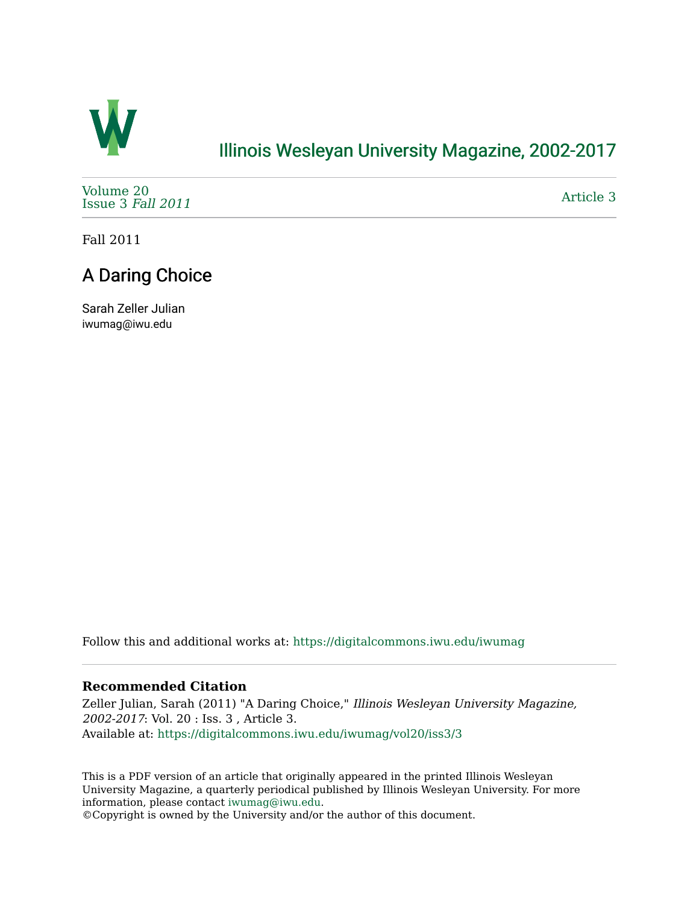

### [Illinois Wesleyan University Magazine, 2002-2017](https://digitalcommons.iwu.edu/iwumag)

[Volume 20](https://digitalcommons.iwu.edu/iwumag/vol20)  [Issue 3](https://digitalcommons.iwu.edu/iwumag/vol20/iss3) Fall 2011

[Article 3](https://digitalcommons.iwu.edu/iwumag/vol20/iss3/3) 

Fall 2011

## A Daring Choice

Sarah Zeller Julian iwumag@iwu.edu

Follow this and additional works at: [https://digitalcommons.iwu.edu/iwumag](https://digitalcommons.iwu.edu/iwumag?utm_source=digitalcommons.iwu.edu%2Fiwumag%2Fvol20%2Fiss3%2F3&utm_medium=PDF&utm_campaign=PDFCoverPages) 

#### **Recommended Citation**

Zeller Julian, Sarah (2011) "A Daring Choice," Illinois Wesleyan University Magazine, 2002-2017: Vol. 20 : Iss. 3 , Article 3. Available at: [https://digitalcommons.iwu.edu/iwumag/vol20/iss3/3](https://digitalcommons.iwu.edu/iwumag/vol20/iss3/3?utm_source=digitalcommons.iwu.edu%2Fiwumag%2Fvol20%2Fiss3%2F3&utm_medium=PDF&utm_campaign=PDFCoverPages)

This is a PDF version of an article that originally appeared in the printed Illinois Wesleyan University Magazine, a quarterly periodical published by Illinois Wesleyan University. For more information, please contact [iwumag@iwu.edu](mailto:iwumag@iwu.edu).

©Copyright is owned by the University and/or the author of this document.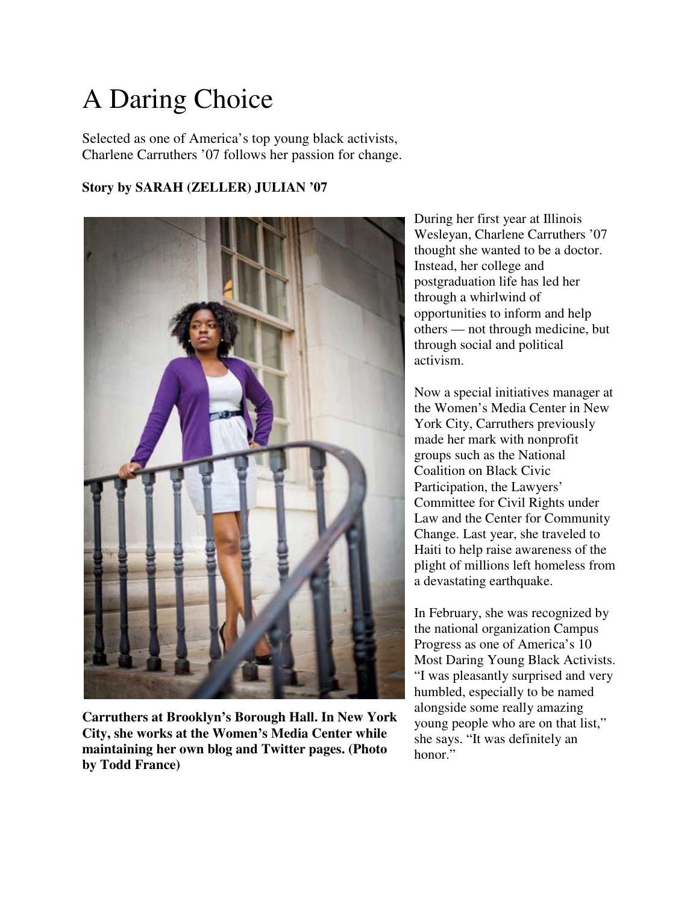# A Daring Choice

Selected as one of America's top young black activists, Charlene Carruthers '07 follows her passion for change.

#### **Story by SARAH (ZELLER) JULIAN '07**



**Carruthers at Brooklyn's Borough Hall. In New York City, she works at the Women's Media Center while maintaining her own blog and Twitter pages. (Photo by Todd France)**

During her first year at Illinois Wesleyan, Charlene Carruthers '07 thought she wanted to be a doctor. Instead, her college and postgraduation life has led her through a whirlwind of opportunities to inform and help others — not through medicine, but through social and political activism.

Now a special initiatives manager at the Women's Media Center in New York City, Carruthers previously made her mark with nonprofit groups such as the National Coalition on Black Civic Participation, the Lawyers' Committee for Civil Rights under Law and the Center for Community Change. Last year, she traveled to Haiti to help raise awareness of the plight of millions left homeless from a devastating earthquake.

In February, she was recognized by the national organization Campus Progress as one of America's 10 Most Daring Young Black Activists. "I was pleasantly surprised and very humbled, especially to be named alongside some really amazing young people who are on that list," she says. "It was definitely an honor."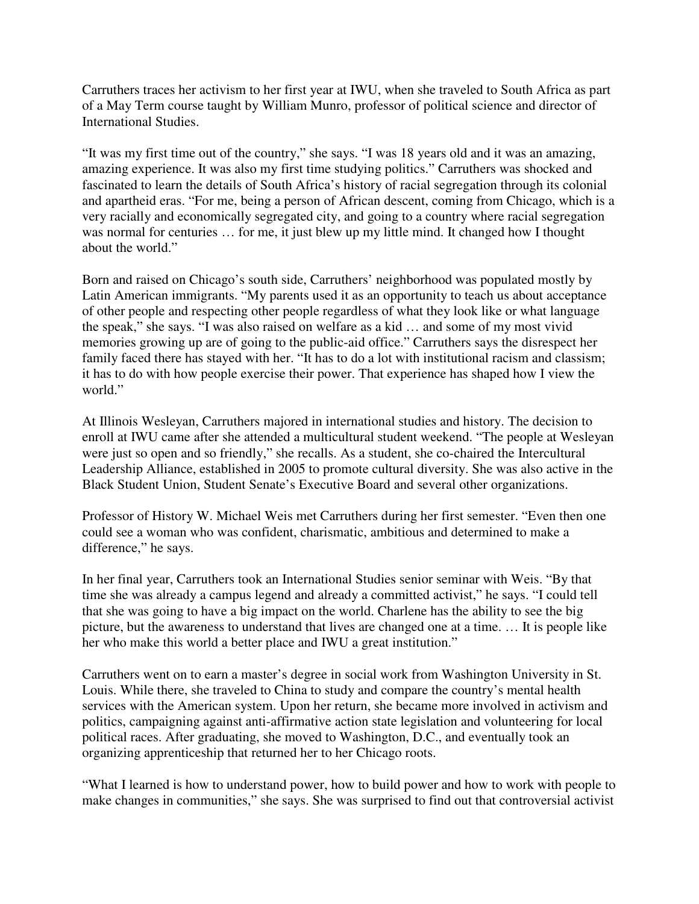Carruthers traces her activism to her first year at IWU, when she traveled to South Africa as part of a May Term course taught by William Munro, professor of political science and director of International Studies.

"It was my first time out of the country," she says. "I was 18 years old and it was an amazing, amazing experience. It was also my first time studying politics." Carruthers was shocked and fascinated to learn the details of South Africa's history of racial segregation through its colonial and apartheid eras. "For me, being a person of African descent, coming from Chicago, which is a very racially and economically segregated city, and going to a country where racial segregation was normal for centuries ... for me, it just blew up my little mind. It changed how I thought about the world."

Born and raised on Chicago's south side, Carruthers' neighborhood was populated mostly by Latin American immigrants. "My parents used it as an opportunity to teach us about acceptance of other people and respecting other people regardless of what they look like or what language the speak," she says. "I was also raised on welfare as a kid … and some of my most vivid memories growing up are of going to the public-aid office." Carruthers says the disrespect her family faced there has stayed with her. "It has to do a lot with institutional racism and classism; it has to do with how people exercise their power. That experience has shaped how I view the world."

At Illinois Wesleyan, Carruthers majored in international studies and history. The decision to enroll at IWU came after she attended a multicultural student weekend. "The people at Wesleyan were just so open and so friendly," she recalls. As a student, she co-chaired the Intercultural Leadership Alliance, established in 2005 to promote cultural diversity. She was also active in the Black Student Union, Student Senate's Executive Board and several other organizations.

Professor of History W. Michael Weis met Carruthers during her first semester. "Even then one could see a woman who was confident, charismatic, ambitious and determined to make a difference," he says.

In her final year, Carruthers took an International Studies senior seminar with Weis. "By that time she was already a campus legend and already a committed activist," he says. "I could tell that she was going to have a big impact on the world. Charlene has the ability to see the big picture, but the awareness to understand that lives are changed one at a time. … It is people like her who make this world a better place and IWU a great institution."

Carruthers went on to earn a master's degree in social work from Washington University in St. Louis. While there, she traveled to China to study and compare the country's mental health services with the American system. Upon her return, she became more involved in activism and politics, campaigning against anti-affirmative action state legislation and volunteering for local political races. After graduating, she moved to Washington, D.C., and eventually took an organizing apprenticeship that returned her to her Chicago roots.

"What I learned is how to understand power, how to build power and how to work with people to make changes in communities," she says. She was surprised to find out that controversial activist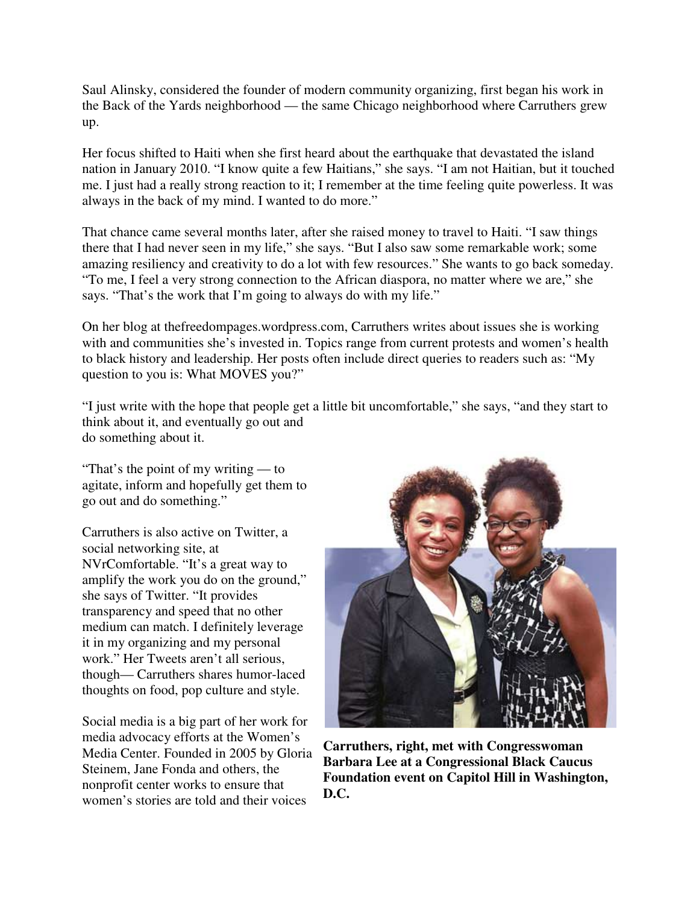Saul Alinsky, considered the founder of modern community organizing, first began his work in the Back of the Yards neighborhood — the same Chicago neighborhood where Carruthers grew up.

Her focus shifted to Haiti when she first heard about the earthquake that devastated the island nation in January 2010. "I know quite a few Haitians," she says. "I am not Haitian, but it touched me. I just had a really strong reaction to it; I remember at the time feeling quite powerless. It was always in the back of my mind. I wanted to do more."

That chance came several months later, after she raised money to travel to Haiti. "I saw things there that I had never seen in my life," she says. "But I also saw some remarkable work; some amazing resiliency and creativity to do a lot with few resources." She wants to go back someday. "To me, I feel a very strong connection to the African diaspora, no matter where we are," she says. "That's the work that I'm going to always do with my life."

On her blog at thefreedompages.wordpress.com, Carruthers writes about issues she is working with and communities she's invested in. Topics range from current protests and women's health to black history and leadership. Her posts often include direct queries to readers such as: "My question to you is: What MOVES you?"

"I just write with the hope that people get a little bit uncomfortable," she says, "and they start to think about it, and eventually go out and do something about it.

"That's the point of my writing — to agitate, inform and hopefully get them to go out and do something."

Carruthers is also active on Twitter, a social networking site, at NVrComfortable. "It's a great way to amplify the work you do on the ground," she says of Twitter. "It provides transparency and speed that no other medium can match. I definitely leverage it in my organizing and my personal work." Her Tweets aren't all serious, though— Carruthers shares humor-laced thoughts on food, pop culture and style.

Social media is a big part of her work for media advocacy efforts at the Women's Media Center. Founded in 2005 by Gloria Steinem, Jane Fonda and others, the nonprofit center works to ensure that women's stories are told and their voices



**Carruthers, right, met with Congresswoman Barbara Lee at a Congressional Black Caucus Foundation event on Capitol Hill in Washington, D.C.**